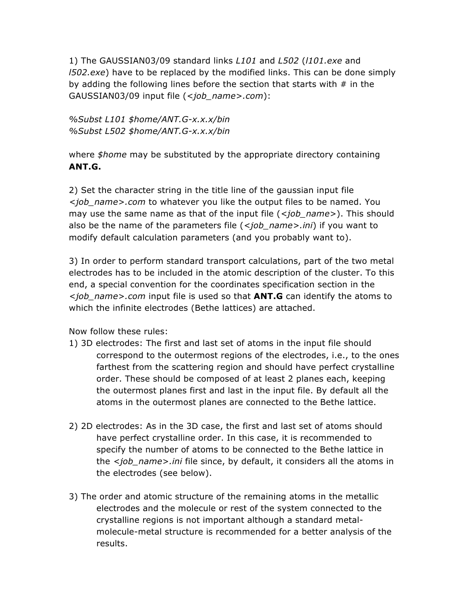1) The GAUSSIAN03/09 standard links *L101* and *L502* (*l101.exe* and *l502.exe*) have to be replaced by the modified links. This can be done simply by adding the following lines before the section that starts with  $#$  in the GAUSSIAN03/09 input file (*<job\_name>.com*):

*%Subst L101 \$home/ANT.G-x.x.x/bin %Subst L502 \$home/ANT.G-x.x.x/bin*

where *\$home* may be substituted by the appropriate directory containing **ANT.G.**

2) Set the character string in the title line of the gaussian input file *<job\_name>.com* to whatever you like the output files to be named. You may use the same name as that of the input file (*<job\_name>*). This should also be the name of the parameters file (*<job\_name>.ini*) if you want to modify default calculation parameters (and you probably want to).

3) In order to perform standard transport calculations, part of the two metal electrodes has to be included in the atomic description of the cluster. To this end, a special convention for the coordinates specification section in the *<job\_name>.com* input file is used so that **ANT.G** can identify the atoms to which the infinite electrodes (Bethe lattices) are attached.

Now follow these rules:

- 1) 3D electrodes: The first and last set of atoms in the input file should correspond to the outermost regions of the electrodes, i.e., to the ones farthest from the scattering region and should have perfect crystalline order. These should be composed of at least 2 planes each, keeping the outermost planes first and last in the input file. By default all the atoms in the outermost planes are connected to the Bethe lattice.
- 2) 2D electrodes: As in the 3D case, the first and last set of atoms should have perfect crystalline order. In this case, it is recommended to specify the number of atoms to be connected to the Bethe lattice in the *<job\_name>.ini* file since, by default, it considers all the atoms in the electrodes (see below).
- 3) The order and atomic structure of the remaining atoms in the metallic electrodes and the molecule or rest of the system connected to the crystalline regions is not important although a standard metalmolecule-metal structure is recommended for a better analysis of the results.